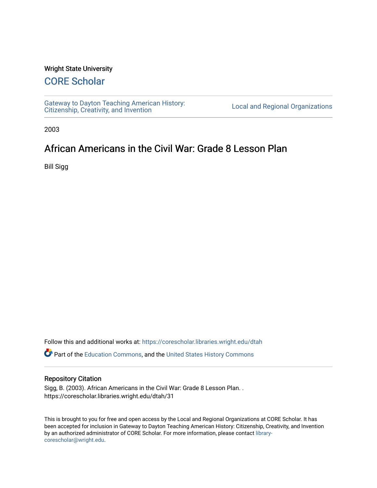#### Wright State University

# [CORE Scholar](https://corescholar.libraries.wright.edu/)

[Gateway to Dayton Teaching American History:](https://corescholar.libraries.wright.edu/dtah)  Gateway to Dayton Teaching American History.<br>[Citizenship, Creativity, and Invention](https://corescholar.libraries.wright.edu/dtah) Listory Local and Regional Organizations

2003

# African Americans in the Civil War: Grade 8 Lesson Plan

Bill Sigg

Follow this and additional works at: [https://corescholar.libraries.wright.edu/dtah](https://corescholar.libraries.wright.edu/dtah?utm_source=corescholar.libraries.wright.edu%2Fdtah%2F31&utm_medium=PDF&utm_campaign=PDFCoverPages)

Part of the [Education Commons](http://network.bepress.com/hgg/discipline/784?utm_source=corescholar.libraries.wright.edu%2Fdtah%2F31&utm_medium=PDF&utm_campaign=PDFCoverPages), and the [United States History Commons](http://network.bepress.com/hgg/discipline/495?utm_source=corescholar.libraries.wright.edu%2Fdtah%2F31&utm_medium=PDF&utm_campaign=PDFCoverPages) 

#### Repository Citation

Sigg, B. (2003). African Americans in the Civil War: Grade 8 Lesson Plan. . https://corescholar.libraries.wright.edu/dtah/31

This is brought to you for free and open access by the Local and Regional Organizations at CORE Scholar. It has been accepted for inclusion in Gateway to Dayton Teaching American History: Citizenship, Creativity, and Invention by an authorized administrator of CORE Scholar. For more information, please contact [library](mailto:library-corescholar@wright.edu)[corescholar@wright.edu](mailto:library-corescholar@wright.edu).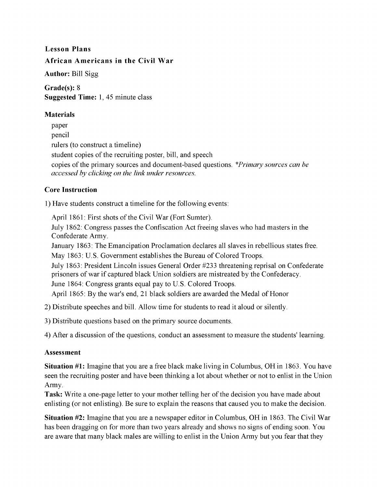#### Lesson Plans African Americans in the Civil War

Author: Bill Sigg

Grade(s): 8 Suggested Time: 1,45 minute class

#### Materials

paper pencil rulers (to construct a timeline) student copies of the recruiting poster, bill, and speech copies of the primary sources and document-based questions. *\*Primary sources can be accessed by clicking on the link under resources.* 

### Core Instruction

1) Have students construct a timeline for the following events:

April 1861: First shots of the Civil War (Fort Sumter).

July 1862: Congress passes the Confiscation Act freeing slaves who had masters in the Confederate Army.

January 1863: The Emancipation Proclamation declares all slaves in rebellious states free.

May 1863: U.S. Government establishes the Bureau of Colored Troops.

July 1863: President Lincoln issues General Order #233 threatening reprisal on Confederate prisoners of war if captured black Union soldiers are mistreated by the Confederacy.

June 1864: Congress grants equal pay to U.S. Colored Troops.

April 1865: By the war's end, 21 black soldiers are awarded the Medal of Honor

2) Distribute speeches and bill. Allow time for students to read it aloud or silently.

3) Distribute questions based on the primary source documents.

4) After a discussion of the questions, conduct an assessment to measure the students' learning.

### Assessment

Situation #1: Imagine that you are a free black make living in Columbus, OH in 1863. You have seen the recruiting poster and have been thinking a lot about whether or not to enlist in the Union Army.

Task: Write a one-page letter to your mother telling her of the decision you have made about enlisting (or not enlisting). Be sure to explain the reasons that caused you to make the decision.

Situation #2: Imagine that you are a newspaper editor in Columbus, OH in 1863. The Civil War has been dragging on for more than two years already and shows no signs of ending soon. You are aware that many black males are willing to enlist in the Union Army but you fear that they